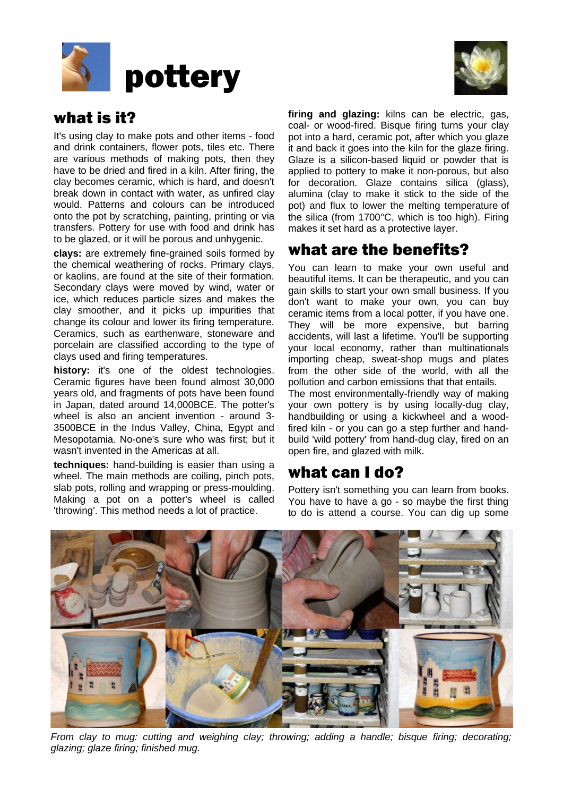



# what is it?

It's using clay to make pots and other items - food and drink containers, flower pots, tiles etc. There are various methods of making pots, then they have to be dried and fired in a kiln. After firing, the clay becomes ceramic, which is hard, and doesn't break down in contact with water, as unfired clay would. Patterns and colours can be introduced onto the pot by scratching, painting, printing or via transfers. Pottery for use with food and drink has to be glazed, or it will be porous and unhygenic.

**clays:** are extremely fine-grained soils formed by the chemical weathering of rocks. Primary clays, or kaolins, are found at the site of their formation. Secondary clays were moved by wind, water or ice, which reduces particle sizes and makes the clay smoother, and it picks up impurities that change its colour and lower its firing temperature. Ceramics, such as earthenware, stoneware and porcelain are classified according to the type of clays used and firing temperatures.

**history:** it's one of the oldest technologies. Ceramic figures have been found almost 30,000 years old, and fragments of pots have been found in Japan, dated around 14,000BCE. The potter's wheel is also an ancient invention - around 3- 3500BCE in the Indus Valley, China, Egypt and Mesopotamia. No-one's sure who was first; but it wasn't invented in the Americas at all.

**techniques:** hand-building is easier than using a wheel. The main methods are coiling, pinch pots, slab pots, rolling and wrapping or press-moulding. Making a pot on a potter's wheel is called 'throwing'. This method needs a lot of practice.

**firing and glazing:** kilns can be electric, gas, coal- or wood-fired. Bisque firing turns your clay pot into a hard, ceramic pot, after which you glaze it and back it goes into the kiln for the glaze firing. Glaze is a silicon-based liquid or powder that is applied to pottery to make it non-porous, but also for decoration. Glaze contains silica (glass), alumina (clay to make it stick to the side of the pot) and flux to lower the melting temperature of the silica (from 1700°C, which is too high). Firing makes it set hard as a protective layer.

# what are the benefits?

You can learn to make your own useful and beautiful items. It can be therapeutic, and you can gain skills to start your own small business. If you don't want to make your own, you can buy ceramic items from a local potter, if you have one. They will be more expensive, but barring accidents, will last a lifetime. You'll be supporting your local economy, rather than multinationals importing cheap, sweat-shop mugs and plates from the other side of the world, with all the pollution and carbon emissions that that entails.

The most environmentally-friendly way of making your own pottery is by using locally-dug clay, handbuilding or using a kickwheel and a woodfired kiln - or you can go a step further and handbuild 'wild pottery' from hand-dug clay, fired on an open fire, and glazed with milk.

## what can I do?

Pottery isn't something you can learn from books. You have to have a go - so maybe the first thing to do is attend a course. You can dig up some



*From clay to mug: cutting and weighing clay; throwing; adding a handle; bisque firing; decorating; glazing; glaze firing; finished mug.*